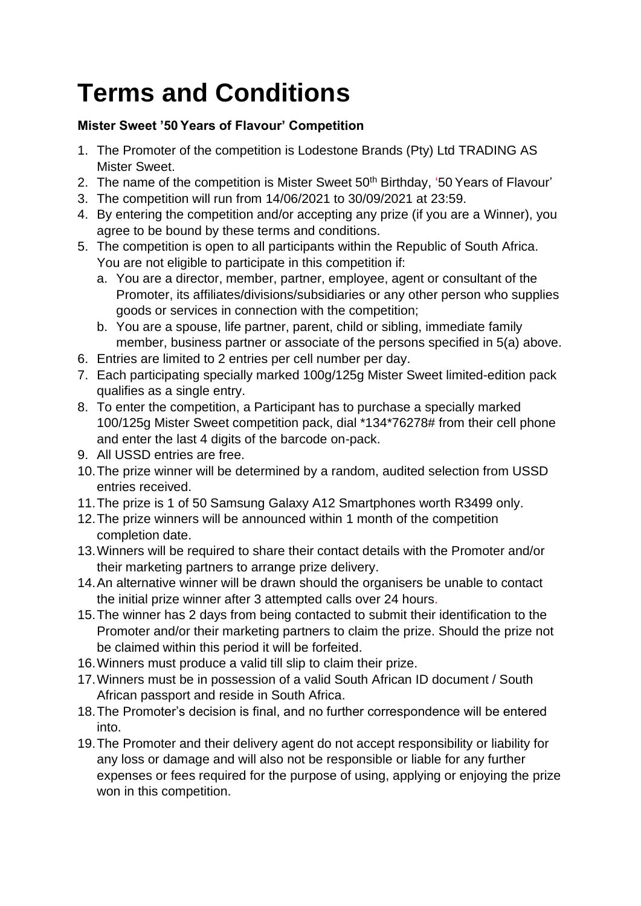## **Terms and Conditions**

## **Mister Sweet '50 Years of Flavour' Competition**

- 1. The Promoter of the competition is Lodestone Brands (Pty) Ltd TRADING AS Mister Sweet.
- 2. The name of the competition is Mister Sweet 50<sup>th</sup> Birthday, '50 Years of Flavour'
- 3. The competition will run from 14/06/2021 to 30/09/2021 at 23:59.
- 4. By entering the competition and/or accepting any prize (if you are a Winner), you agree to be bound by these terms and conditions.
- 5. The competition is open to all participants within the Republic of South Africa. You are not eligible to participate in this competition if:
	- a. You are a director, member, partner, employee, agent or consultant of the Promoter, its affiliates/divisions/subsidiaries or any other person who supplies goods or services in connection with the competition;
	- b. You are a spouse, life partner, parent, child or sibling, immediate family member, business partner or associate of the persons specified in 5(a) above.
- 6. Entries are limited to 2 entries per cell number per day.
- 7. Each participating specially marked 100g/125g Mister Sweet limited-edition pack qualifies as a single entry.
- 8. To enter the competition, a Participant has to purchase a specially marked 100/125g Mister Sweet competition pack, dial \*134\*76278# from their cell phone and enter the last 4 digits of the barcode on-pack.
- 9. All USSD entries are free.
- 10.The prize winner will be determined by a random, audited selection from USSD entries received.
- 11.The prize is 1 of 50 Samsung Galaxy A12 Smartphones worth R3499 only.
- 12.The prize winners will be announced within 1 month of the competition completion date.
- 13.Winners will be required to share their contact details with the Promoter and/or their marketing partners to arrange prize delivery.
- 14.An alternative winner will be drawn should the organisers be unable to contact the initial prize winner after 3 attempted calls over 24 hours.
- 15.The winner has 2 days from being contacted to submit their identification to the Promoter and/or their marketing partners to claim the prize. Should the prize not be claimed within this period it will be forfeited.
- 16.Winners must produce a valid till slip to claim their prize.
- 17.Winners must be in possession of a valid South African ID document / South African passport and reside in South Africa.
- 18.The Promoter's decision is final, and no further correspondence will be entered into.
- 19.The Promoter and their delivery agent do not accept responsibility or liability for any loss or damage and will also not be responsible or liable for any further expenses or fees required for the purpose of using, applying or enjoying the prize won in this competition.